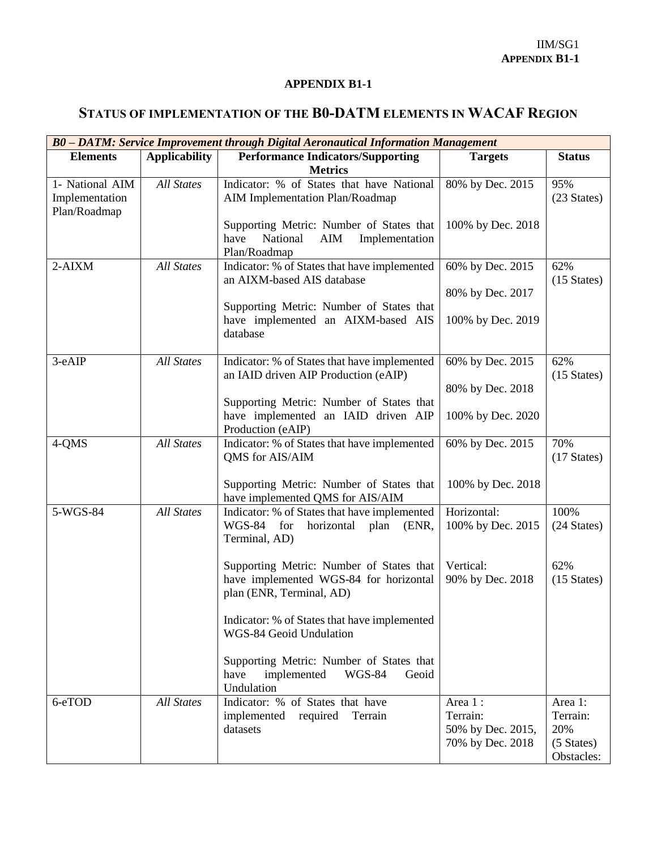## **APPENDIX B1-1**

## **STATUS OF IMPLEMENTATION OF THE B0-DATM ELEMENTS IN WACAF REGION**

| B0 - DATM: Service Improvement through Digital Aeronautical Information Management |                      |                                                                                                                |                                                              |                                                        |  |  |
|------------------------------------------------------------------------------------|----------------------|----------------------------------------------------------------------------------------------------------------|--------------------------------------------------------------|--------------------------------------------------------|--|--|
| <b>Elements</b>                                                                    | <b>Applicability</b> | <b>Performance Indicators/Supporting</b><br><b>Metrics</b>                                                     | <b>Targets</b>                                               | <b>Status</b>                                          |  |  |
| 1- National AIM<br>Implementation<br>Plan/Roadmap                                  | <b>All States</b>    | Indicator: % of States that have National<br>AIM Implementation Plan/Roadmap                                   | 80% by Dec. 2015                                             | 95%<br>(23 States)                                     |  |  |
|                                                                                    |                      | Supporting Metric: Number of States that<br>National<br>have<br>AIM<br>Implementation<br>Plan/Roadmap          | 100% by Dec. 2018                                            |                                                        |  |  |
| $2-AIXM$                                                                           | <b>All States</b>    | Indicator: % of States that have implemented<br>an AIXM-based AIS database                                     | 60% by Dec. 2015<br>80% by Dec. 2017                         | 62%<br>$(15 \text{ States})$                           |  |  |
|                                                                                    |                      | Supporting Metric: Number of States that<br>have implemented an AIXM-based AIS<br>database                     | 100% by Dec. 2019                                            |                                                        |  |  |
| 3-eAIP                                                                             | <b>All States</b>    | Indicator: % of States that have implemented<br>an IAID driven AIP Production (eAIP)                           | 60% by Dec. 2015<br>80% by Dec. 2018                         | 62%<br>$(15 \text{ States})$                           |  |  |
|                                                                                    |                      | Supporting Metric: Number of States that<br>have implemented an IAID driven AIP<br>Production (eAIP)           | 100% by Dec. 2020                                            |                                                        |  |  |
| 4-QMS                                                                              | <b>All States</b>    | Indicator: % of States that have implemented<br>QMS for AIS/AIM                                                | 60% by Dec. 2015                                             | 70%<br>$(17 \text{ States})$                           |  |  |
|                                                                                    |                      | Supporting Metric: Number of States that<br>have implemented QMS for AIS/AIM                                   | 100% by Dec. 2018                                            |                                                        |  |  |
| 5-WGS-84                                                                           | <b>All States</b>    | Indicator: % of States that have implemented<br>WGS-84 for<br>horizontal plan<br>(ENR,<br>Terminal, AD)        | Horizontal:<br>100% by Dec. 2015                             | 100%<br>(24 States)                                    |  |  |
|                                                                                    |                      | Supporting Metric: Number of States that<br>have implemented WGS-84 for horizontal<br>plan (ENR, Terminal, AD) | Vertical:<br>90% by Dec. 2018                                | 62%<br>$(15 \text{ States})$                           |  |  |
|                                                                                    |                      | Indicator: % of States that have implemented<br>WGS-84 Geoid Undulation                                        |                                                              |                                                        |  |  |
|                                                                                    |                      | Supporting Metric: Number of States that<br>have<br>implemented<br><b>WGS-84</b><br>Geoid<br>Undulation        |                                                              |                                                        |  |  |
| 6-eTOD                                                                             | <b>All States</b>    | Indicator: % of States that have<br>implemented required<br>Terrain<br>datasets                                | Area 1:<br>Terrain:<br>50% by Dec. 2015,<br>70% by Dec. 2018 | Area 1:<br>Terrain:<br>20%<br>(5 States)<br>Obstacles: |  |  |